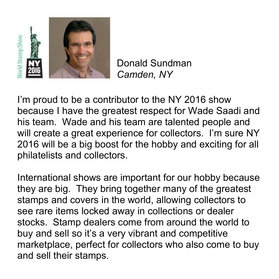

Donald Sundman *Camden, NY* 

I'm proud to be a contributor to the NY 2016 show because I have the greatest respect for Wade Saadi and his team. Wade and his team are talented people and will create a great experience for collectors. I'm sure NY 2016 will be a big boost for the hobby and exciting for all philatelists and collectors.

International shows are important for our hobby because they are big. They bring together many of the greatest stamps and covers in the world, allowing collectors to see rare items locked away in collections or dealer stocks. Stamp dealers come from around the world to buy and sell so it's a very vibrant and competitive marketplace, perfect for collectors who also come to buy and sell their stamps.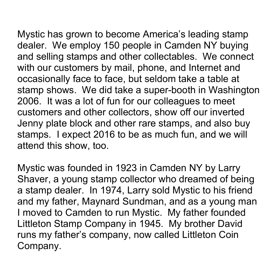Mystic has grown to become America's leading stamp dealer. We employ 150 people in Camden NY buying and selling stamps and other collectables. We connect with our customers by mail, phone, and Internet and occasionally face to face, but seldom take a table at stamp shows. We did take a super-booth in Washington 2006. It was a lot of fun for our colleagues to meet customers and other collectors, show off our inverted Jenny plate block and other rare stamps, and also buy stamps. I expect 2016 to be as much fun, and we will attend this show, too.

Mystic was founded in 1923 in Camden NY by Larry Shaver, a young stamp collector who dreamed of being a stamp dealer. In 1974, Larry sold Mystic to his friend and my father, Maynard Sundman, and as a young man I moved to Camden to run Mystic. My father founded Littleton Stamp Company in 1945. My brother David runs my father's company, now called Littleton Coin Company.